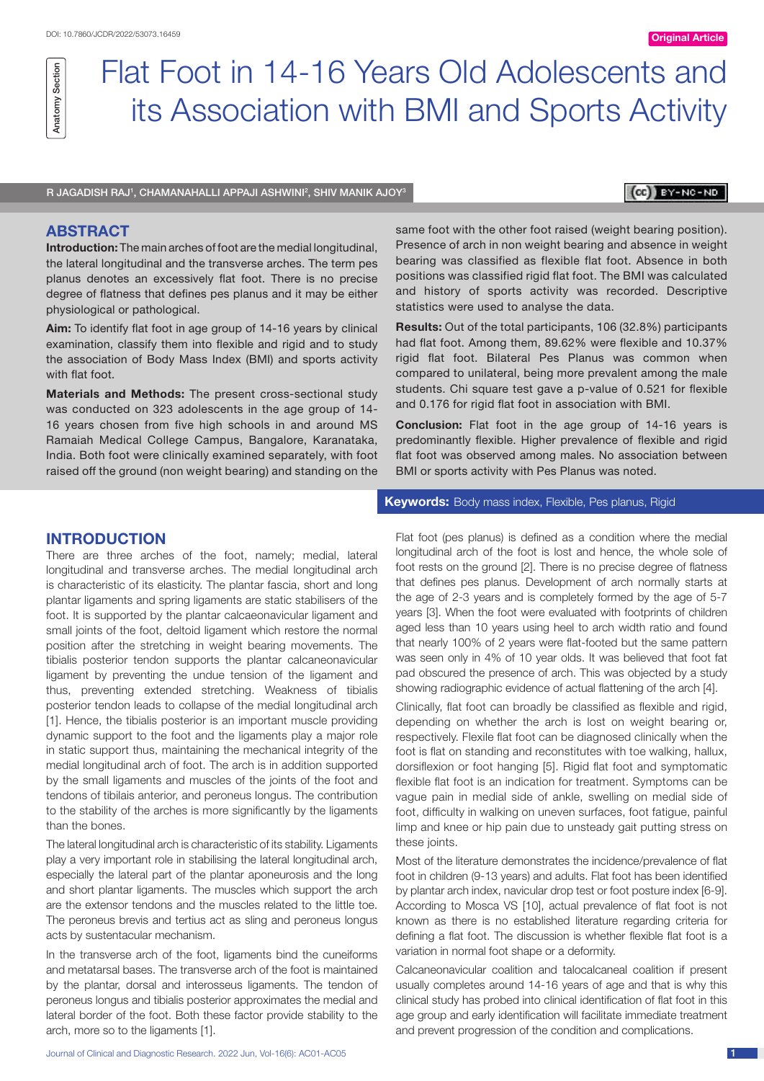# Flat Foot in 14-16 Years Old Adolescents and its Association with BMI and Sports Activity

R JAGADISH RAJ', CHAMANAHALLI APPAJI ASHWINI<del>'</del>, SHIV MANIK AJOY<sup>3</sup>

# $(c)$   $y$   $y$   $y$   $y$   $y$   $y$   $y$   $y$   $y$

## **ABSTRACT**

Anatomy Section

Anatomy Section

**Introduction:** The main arches of foot are the medial longitudinal, the lateral longitudinal and the transverse arches. The term pes planus denotes an excessively flat foot. There is no precise degree of flatness that defines pes planus and it may be either physiological or pathological.

**Aim:** To identify flat foot in age group of 14-16 years by clinical examination, classify them into flexible and rigid and to study the association of Body Mass Index (BMI) and sports activity with flat foot.

**Materials and Methods:** The present cross-sectional study was conducted on 323 adolescents in the age group of 14- 16 years chosen from five high schools in and around MS Ramaiah Medical College Campus, Bangalore, Karanataka, India. Both foot were clinically examined separately, with foot raised off the ground (non weight bearing) and standing on the

# **Introduction**

There are three arches of the foot, namely; medial, lateral longitudinal and transverse arches. The medial longitudinal arch is characteristic of its elasticity. The plantar fascia, short and long plantar ligaments and spring ligaments are static stabilisers of the foot. It is supported by the plantar calcaeonavicular ligament and small joints of the foot, deltoid ligament which restore the normal position after the stretching in weight bearing movements. The tibialis posterior tendon supports the plantar calcaneonavicular ligament by preventing the undue tension of the ligament and thus, preventing extended stretching. Weakness of tibialis posterior tendon leads to collapse of the medial longitudinal arch [1]. Hence, the tibialis posterior is an important muscle providing dynamic support to the foot and the ligaments play a major role in static support thus, maintaining the mechanical integrity of the medial longitudinal arch of foot. The arch is in addition supported by the small ligaments and muscles of the joints of the foot and tendons of tibilais anterior, and peroneus longus. The contribution to the stability of the arches is more significantly by the ligaments than the bones.

The lateral longitudinal arch is characteristic of its stability. Ligaments play a very important role in stabilising the lateral longitudinal arch, especially the lateral part of the plantar aponeurosis and the long and short plantar ligaments. The muscles which support the arch are the extensor tendons and the muscles related to the little toe. The peroneus brevis and tertius act as sling and peroneus longus acts by sustentacular mechanism.

In the transverse arch of the foot, ligaments bind the cuneiforms and metatarsal bases. The transverse arch of the foot is maintained by the plantar, dorsal and interosseus ligaments. The tendon of peroneus longus and tibialis posterior approximates the medial and lateral border of the foot. Both these factor provide stability to the arch, more so to the ligaments [1].

same foot with the other foot raised (weight bearing position). Presence of arch in non weight bearing and absence in weight bearing was classified as flexible flat foot. Absence in both positions was classified rigid flat foot. The BMI was calculated and history of sports activity was recorded. Descriptive statistics were used to analyse the data.

**Results:** Out of the total participants, 106 (32.8%) participants had flat foot. Among them, 89.62% were flexible and 10.37% rigid flat foot. Bilateral Pes Planus was common when compared to unilateral, being more prevalent among the male students. Chi square test gave a p-value of 0.521 for flexible and 0.176 for rigid flat foot in association with BMI.

**Conclusion:** Flat foot in the age group of 14-16 years is predominantly flexible. Higher prevalence of flexible and rigid flat foot was observed among males. No association between BMI or sports activity with Pes Planus was noted.

## **Keywords:** Body mass index, Flexible, Pes planus, Rigid

Flat foot (pes planus) is defined as a condition where the medial longitudinal arch of the foot is lost and hence, the whole sole of foot rests on the ground [2]. There is no precise degree of flatness that defines pes planus. Development of arch normally starts at the age of 2-3 years and is completely formed by the age of 5-7 years [3]. When the foot were evaluated with footprints of children aged less than 10 years using heel to arch width ratio and found that nearly 100% of 2 years were flat-footed but the same pattern was seen only in 4% of 10 year olds. It was believed that foot fat pad obscured the presence of arch. This was objected by a study showing radiographic evidence of actual flattening of the arch [4].

Clinically, flat foot can broadly be classified as flexible and rigid. depending on whether the arch is lost on weight bearing or, respectively. Flexile flat foot can be diagnosed clinically when the foot is flat on standing and reconstitutes with toe walking, hallux, dorsiflexion or foot hanging [5]. Rigid flat foot and symptomatic flexible flat foot is an indication for treatment. Symptoms can be vague pain in medial side of ankle, swelling on medial side of foot, difficulty in walking on uneven surfaces, foot fatigue, painful limp and knee or hip pain due to unsteady gait putting stress on these joints.

Most of the literature demonstrates the incidence/prevalence of flat foot in children (9-13 years) and adults. Flat foot has been identified by plantar arch index, navicular drop test or foot posture index [6-9]. According to Mosca VS [10], actual prevalence of flat foot is not known as there is no established literature regarding criteria for defining a flat foot. The discussion is whether flexible flat foot is a variation in normal foot shape or a deformity.

Calcaneonavicular coalition and talocalcaneal coalition if present usually completes around 14-16 years of age and that is why this clinical study has probed into clinical identification of flat foot in this age group and early identification will facilitate immediate treatment and prevent progression of the condition and complications.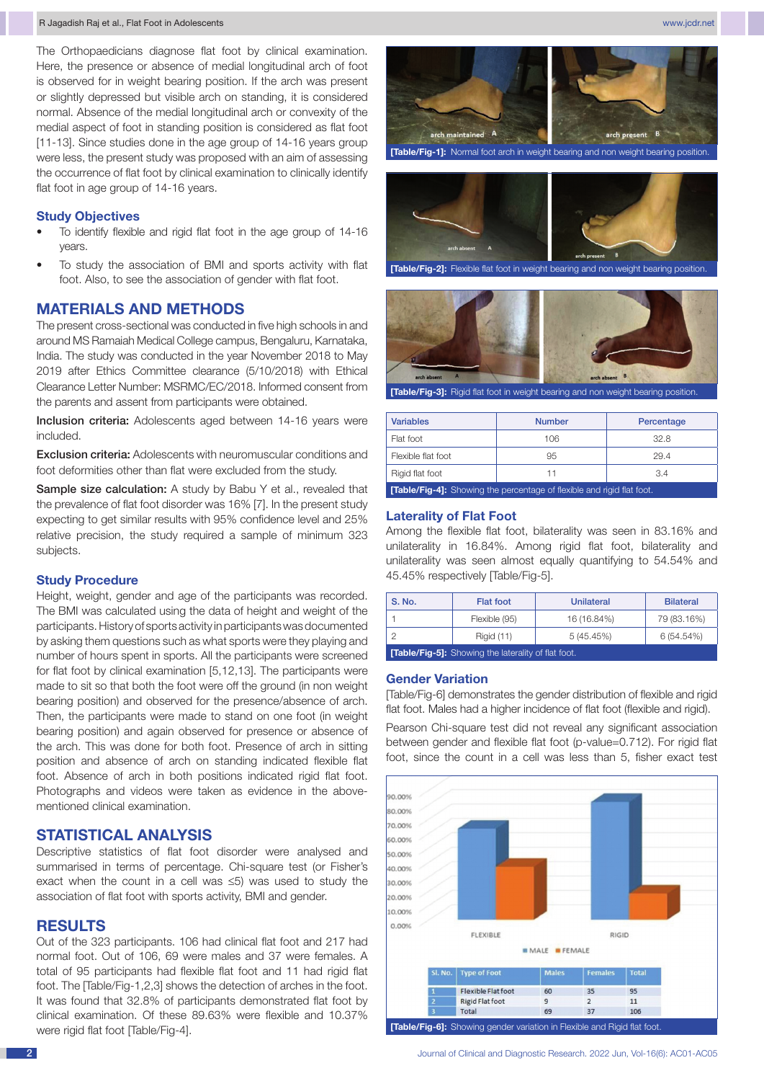# **Study Objectives**

- To identify flexible and rigid flat foot in the age group of 14-16 years.
- To study the association of BMI and sports activity with flat foot. Also, to see the association of gender with flat foot.

# **Materials and Methods**

The present cross-sectional was conducted in five high schools in and around MS Ramaiah Medical College campus, Bengaluru, Karnataka, India. The study was conducted in the year November 2018 to May 2019 after Ethics Committee clearance (5/10/2018) with Ethical Clearance Letter Number: MSRMC/EC/2018. Informed consent from the parents and assent from participants were obtained.

Inclusion criteria: Adolescents aged between 14-16 years were included.

Exclusion criteria: Adolescents with neuromuscular conditions and foot deformities other than flat were excluded from the study.

Sample size calculation: A study by Babu Y et al., revealed that the prevalence of flat foot disorder was 16% [7]. In the present study expecting to get similar results with 95% confidence level and 25% relative precision, the study required a sample of minimum 323 subjects.

# **Study Procedure**

Height, weight, gender and age of the participants was recorded. The BMI was calculated using the data of height and weight of the participants. History of sports activity in participants was documented by asking them questions such as what sports were they playing and number of hours spent in sports. All the participants were screened for flat foot by clinical examination [5,12,13]. The participants were made to sit so that both the foot were off the ground (in non weight bearing position) and observed for the presence/absence of arch. Then, the participants were made to stand on one foot (in weight bearing position) and again observed for presence or absence of the arch. This was done for both foot. Presence of arch in sitting position and absence of arch on standing indicated flexible flat foot. Absence of arch in both positions indicated rigid flat foot. Photographs and videos were taken as evidence in the abovementioned clinical examination.

# **Statistical Analysis**

Descriptive statistics of flat foot disorder were analysed and summarised in terms of percentage. Chi-square test (or Fisher's exact when the count in a cell was ≤5) was used to study the association of flat foot with sports activity, BMI and gender.

# **Results**

Out of the 323 participants. 106 had clinical flat foot and 217 had normal foot. Out of 106, 69 were males and 37 were females. A total of 95 participants had flexible flat foot and 11 had rigid flat foot. The [Table/Fig-1,2,3] shows the detection of arches in the foot. It was found that 32.8% of participants demonstrated flat foot by clinical examination. Of these 89.63% were flexible and 10.37% were rigid flat foot [Table/Fig-4].



**[Table/Fig-1]:** Normal foot arch in weight bearing and non weight bearing position.



**[Table/Fig-2]:** Flexible flat foot in weight bearing and non weight bearing position.



**[Table/Fig-3]:** Rigid flat foot in weight bearing and non weight bearing position.

| <b>Variables</b>                                                             | <b>Number</b> | Percentage |  |
|------------------------------------------------------------------------------|---------------|------------|--|
| Flat foot                                                                    | 106           | 32.8       |  |
| Flexible flat foot                                                           | 95            | 29.4       |  |
| Rigid flat foot<br>3.4<br>11                                                 |               |            |  |
| <b>Table/Fig-4]:</b> Showing the percentage of flexible and rigid flat foot. |               |            |  |

## **Laterality of Flat Foot**

Among the flexible flat foot, bilaterality was seen in 83.16% and unilaterality in 16.84%. Among rigid flat foot, bilaterality and unilaterality was seen almost equally quantifying to 54.54% and 45.45% respectively [Table/Fig-5].

| <b>S. No.</b>                                              | <b>Flat foot</b>  | Unilateral  | <b>Bilateral</b> |
|------------------------------------------------------------|-------------------|-------------|------------------|
|                                                            | Flexible (95)     | 16 (16.84%) | 79 (83.16%)      |
|                                                            | <b>Rigid (11)</b> | 5(45.45%)   | 6 (54.54%)       |
| <b>[Table/Fig-5]:</b> Showing the laterality of flat foot. |                   |             |                  |

## **Gender Variation**

[Table/Fig-6] demonstrates the gender distribution of flexible and rigid flat foot. Males had a higher incidence of flat foot (flexible and rigid).

Pearson Chi-square test did not reveal any significant association between gender and flexible flat foot (p-value=0.712). For rigid flat foot, since the count in a cell was less than 5, fisher exact test

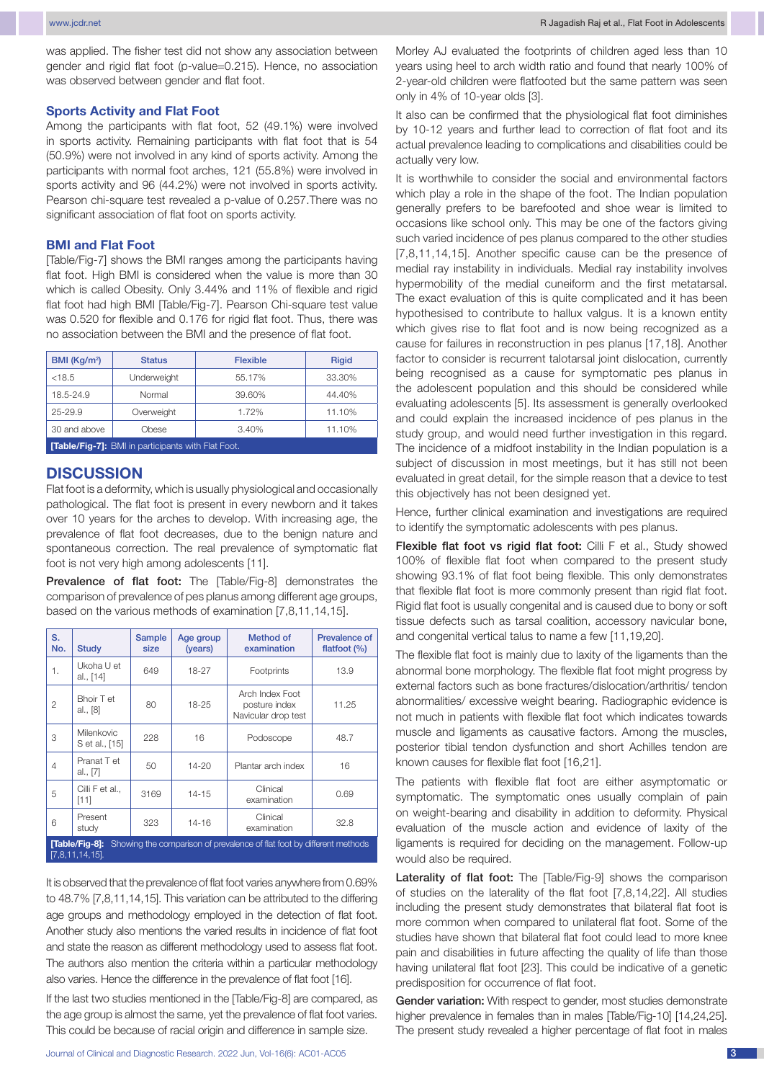was applied. The fisher test did not show any association between gender and rigid flat foot (p-value=0.215). Hence, no association was observed between gender and flat foot.

#### **Sports Activity and Flat Foot**

Among the participants with flat foot, 52 (49.1%) were involved in sports activity. Remaining participants with flat foot that is 54 (50.9%) were not involved in any kind of sports activity. Among the participants with normal foot arches, 121 (55.8%) were involved in sports activity and 96 (44.2%) were not involved in sports activity. Pearson chi-square test revealed a p-value of 0.257.There was no significant association of flat foot on sports activity.

## **BMI and Flat Foot**

[Table/Fig-7] shows the BMI ranges among the participants having flat foot. High BMI is considered when the value is more than 30 which is called Obesity. Only 3.44% and 11% of flexible and rigid flat foot had high BMI [Table/Fig-7]. Pearson Chi-square test value was 0.520 for flexible and 0.176 for rigid flat foot. Thus, there was no association between the BMI and the presence of flat foot.

| BMI (Kq/m <sup>2</sup> )                                 | <b>Status</b> | <b>Flexible</b> | <b>Rigid</b> |
|----------------------------------------------------------|---------------|-----------------|--------------|
| < 18.5                                                   | Underweight   | 55.17%          | 33.30%       |
| 18.5-24.9                                                | Normal        | 39.60%          | 44.40%       |
| 25-29.9                                                  | Overweight    | 1.72%           | 11.10%       |
| 30 and above                                             | Obese         | 3.40%           | 11.10%       |
| <b>Table/Fig-7]:</b> BMI in participants with Flat Foot. |               |                 |              |

# **DISCUSSION**

Flat foot is a deformity, which is usually physiological and occasionally pathological. The flat foot is present in every newborn and it takes over 10 years for the arches to develop. With increasing age, the prevalence of flat foot decreases, due to the benign nature and spontaneous correction. The real prevalence of symptomatic flat foot is not very high among adolescents [11].

Prevalence of flat foot: The [Table/Fig-8] demonstrates the comparison of prevalence of pes planus among different age groups, based on the various methods of examination [7,8,11,14,15].

| S.<br>No.                                                                                                      | <b>Study</b>                        | <b>Sample</b><br>size | Age group<br>(years) | Method of<br>examination                                | <b>Prevalence of</b><br>flatfoot $(\%)$ |
|----------------------------------------------------------------------------------------------------------------|-------------------------------------|-----------------------|----------------------|---------------------------------------------------------|-----------------------------------------|
| 1.                                                                                                             | Ukoha U et<br>al., [14]             | 649                   | 18-27                | Footprints                                              | 13.9                                    |
| 2                                                                                                              | Bhoir T et<br>al., [8]              | 80                    | 18-25                | Arch Index Foot<br>posture index<br>Navicular drop test | 11.25                                   |
| 3                                                                                                              | <b>Milenkovic</b><br>S et al., [15] | 228                   | 16                   | Podoscope                                               | 48.7                                    |
| $\overline{4}$                                                                                                 | Pranat T et<br>al., [7]             | 50                    | 14-20                | Plantar arch index                                      | 16                                      |
| 5                                                                                                              | Cilli F et al.,<br>[11]             | 3169                  | 14-15                | Clinical<br>examination                                 | 0.69                                    |
| 6                                                                                                              | Present<br>study                    | 323                   | 14-16                | Clinical<br>examination                                 | 32.8                                    |
| Showing the comparison of prevalence of flat foot by different methods<br>[Table/Fig-8]:<br>$[7,8,11,14,15]$ . |                                     |                       |                      |                                                         |                                         |

It is observed that the prevalence of flat foot varies anywhere from 0.69% to 48.7% [7,8,11,14,15]. This variation can be attributed to the differing age groups and methodology employed in the detection of flat foot. Another study also mentions the varied results in incidence of flat foot and state the reason as different methodology used to assess flat foot. The authors also mention the criteria within a particular methodology also varies. Hence the difference in the prevalence of flat foot [16].

If the last two studies mentioned in the [Table/Fig-8] are compared, as the age group is almost the same, yet the prevalence of flat foot varies. This could be because of racial origin and difference in sample size.

Morley AJ evaluated the footprints of children aged less than 10 years using heel to arch width ratio and found that nearly 100% of 2-year-old children were flatfooted but the same pattern was seen only in 4% of 10-year olds [3].

It also can be confirmed that the physiological flat foot diminishes by 10-12 years and further lead to correction of flat foot and its actual prevalence leading to complications and disabilities could be actually very low.

It is worthwhile to consider the social and environmental factors which play a role in the shape of the foot. The Indian population generally prefers to be barefooted and shoe wear is limited to occasions like school only. This may be one of the factors giving such varied incidence of pes planus compared to the other studies [7,8,11,14,15]. Another specific cause can be the presence of medial ray instability in individuals. Medial ray instability involves hypermobility of the medial cuneiform and the first metatarsal. The exact evaluation of this is quite complicated and it has been hypothesised to contribute to hallux valgus. It is a known entity which gives rise to flat foot and is now being recognized as a cause for failures in reconstruction in pes planus [17,18]. Another factor to consider is recurrent talotarsal joint dislocation, currently being recognised as a cause for symptomatic pes planus in the adolescent population and this should be considered while evaluating adolescents [5]. Its assessment is generally overlooked and could explain the increased incidence of pes planus in the study group, and would need further investigation in this regard. The incidence of a midfoot instability in the Indian population is a subject of discussion in most meetings, but it has still not been evaluated in great detail, for the simple reason that a device to test this objectively has not been designed yet.

Hence, further clinical examination and investigations are required to identify the symptomatic adolescents with pes planus.

Flexible flat foot vs rigid flat foot: Cilli F et al., Study showed 100% of flexible flat foot when compared to the present study showing 93.1% of flat foot being flexible. This only demonstrates that flexible flat foot is more commonly present than rigid flat foot. Rigid flat foot is usually congenital and is caused due to bony or soft tissue defects such as tarsal coalition, accessory navicular bone, and congenital vertical talus to name a few [11,19,20].

The flexible flat foot is mainly due to laxity of the ligaments than the abnormal bone morphology. The flexible flat foot might progress by external factors such as bone fractures/dislocation/arthritis/ tendon abnormalities/ excessive weight bearing. Radiographic evidence is not much in patients with flexible flat foot which indicates towards muscle and ligaments as causative factors. Among the muscles, posterior tibial tendon dysfunction and short Achilles tendon are known causes for flexible flat foot [16,21].

The patients with flexible flat foot are either asymptomatic or symptomatic. The symptomatic ones usually complain of pain on weight-bearing and disability in addition to deformity. Physical evaluation of the muscle action and evidence of laxity of the ligaments is required for deciding on the management. Follow-up would also be required.

Laterality of flat foot: The [Table/Fig-9] shows the comparison of studies on the laterality of the flat foot [7,8,14,22]. All studies including the present study demonstrates that bilateral flat foot is more common when compared to unilateral flat foot. Some of the studies have shown that bilateral flat foot could lead to more knee pain and disabilities in future affecting the quality of life than those having unilateral flat foot [23]. This could be indicative of a genetic predisposition for occurrence of flat foot.

Gender variation: With respect to gender, most studies demonstrate higher prevalence in females than in males [Table/Fig-10] [14,24,25]. The present study revealed a higher percentage of flat foot in males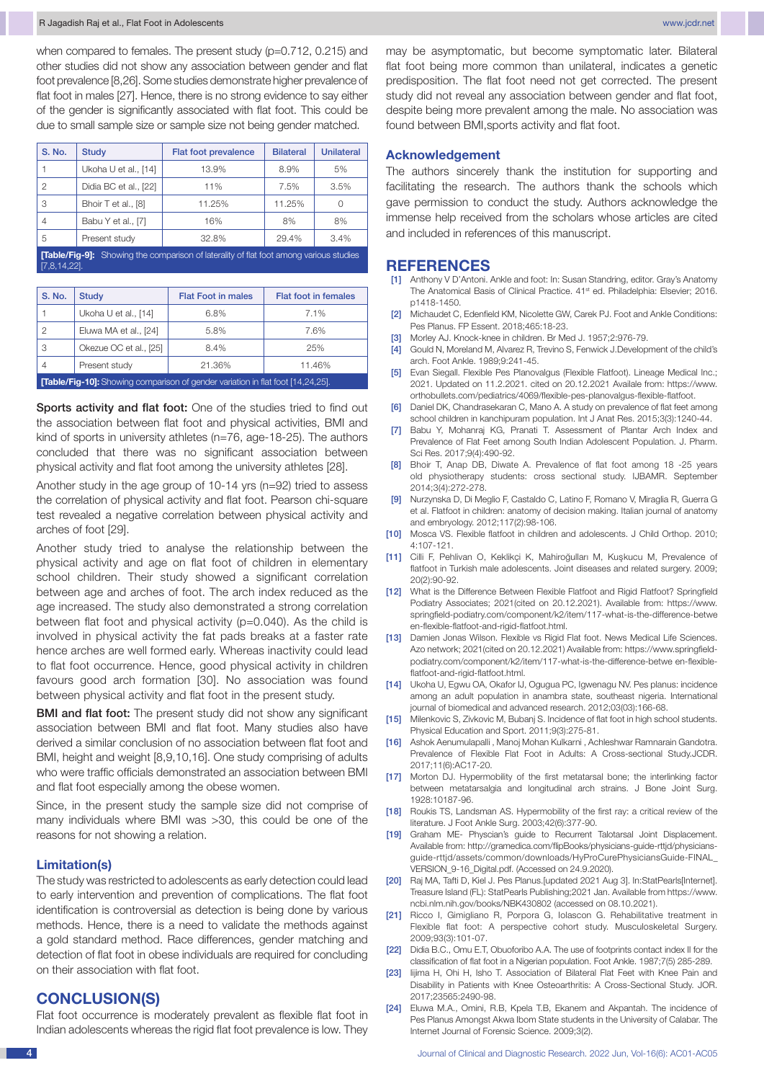when compared to females. The present study (p=0.712, 0.215) and other studies did not show any association between gender and flat foot prevalence [8,26]. Some studies demonstrate higher prevalence of flat foot in males [27]. Hence, there is no strong evidence to say either of the gender is significantly associated with flat foot. This could be due to small sample size or sample size not being gender matched.

| <b>S. No.</b>                                                                                | <b>Study</b>          | Flat foot prevalence | <b>Bilateral</b> | <b>Unilateral</b> |
|----------------------------------------------------------------------------------------------|-----------------------|----------------------|------------------|-------------------|
|                                                                                              | Ukoha U et al., [14]  | 13.9%                | 8.9%             | 5%                |
| 2                                                                                            | Didia BC et al., [22] | 11%                  | 7.5%             | 3.5%              |
| 3                                                                                            | Bhoir T et al., [8]   | 11.25%               | 11.25%           |                   |
| 4                                                                                            | Babu Y et al., [7]    | 16%                  | 8%               | 8%                |
| 5                                                                                            | Present study         | 32.8%                | 29.4%            | 3.4%              |
| <b>Table/Fig-91:</b> Showing the comparison of laterality of flat foot among various studies |                       |                      |                  |                   |

[7,8,14,22].

| <b>S. No.</b>                                                                          | <b>Study</b>                      | <b>Flat Foot in males</b> | <b>Flat foot in females</b> |  |  |
|----------------------------------------------------------------------------------------|-----------------------------------|---------------------------|-----------------------------|--|--|
|                                                                                        | Ukoha U et al., [14]              | 6.8%                      | 7.1%                        |  |  |
| 2                                                                                      | Eluwa MA et al., [24]             | 5.8%                      | 7.6%                        |  |  |
| 3                                                                                      | Okezue OC et al., [25]            | 8.4%                      | 25%                         |  |  |
| 4                                                                                      | Present study<br>21.36%<br>11.46% |                           |                             |  |  |
| <b>[Table/Fig-10]:</b> Showing comparison of gender variation in flat foot [14,24,25]. |                                   |                           |                             |  |  |

Sports activity and flat foot: One of the studies tried to find out the association between flat foot and physical activities, BMI and kind of sports in university athletes (n=76, age-18-25). The authors concluded that there was no significant association between physical activity and flat foot among the university athletes [28].

Another study in the age group of 10-14 yrs (n=92) tried to assess the correlation of physical activity and flat foot. Pearson chi-square test revealed a negative correlation between physical activity and arches of foot [29].

Another study tried to analyse the relationship between the physical activity and age on flat foot of children in elementary school children. Their study showed a significant correlation between age and arches of foot. The arch index reduced as the age increased. The study also demonstrated a strong correlation between flat foot and physical activity (p=0.040). As the child is involved in physical activity the fat pads breaks at a faster rate hence arches are well formed early. Whereas inactivity could lead to flat foot occurrence. Hence, good physical activity in children favours good arch formation [30]. No association was found between physical activity and flat foot in the present study.

**BMI and flat foot:** The present study did not show any significant association between BMI and flat foot. Many studies also have derived a similar conclusion of no association between flat foot and BMI, height and weight [8,9,10,16]. One study comprising of adults who were traffic officials demonstrated an association between BMI and flat foot especially among the obese women.

Since, in the present study the sample size did not comprise of many individuals where BMI was >30, this could be one of the reasons for not showing a relation.

## **Limitation(s)**

The study was restricted to adolescents as early detection could lead to early intervention and prevention of complications. The flat foot identification is controversial as detection is being done by various methods. Hence, there is a need to validate the methods against a gold standard method. Race differences, gender matching and detection of flat foot in obese individuals are required for concluding on their association with flat foot.

## **Conclusion(S)**

Flat foot occurrence is moderately prevalent as flexible flat foot in Indian adolescents whereas the rigid flat foot prevalence is low. They may be asymptomatic, but become symptomatic later. Bilateral flat foot being more common than unilateral, indicates a genetic predisposition. The flat foot need not get corrected. The present study did not reveal any association between gender and flat foot, despite being more prevalent among the male. No association was found between BMI,sports activity and flat foot.

#### **Acknowledgement**

The authors sincerely thank the institution for supporting and facilitating the research. The authors thank the schools which gave permission to conduct the study. Authors acknowledge the immense help received from the scholars whose articles are cited and included in references of this manuscript.

## **References**

- [1] Anthony V D'Antoni. Ankle and foot: In: Susan Standring, editor. Gray's Anatomy The Anatomical Basis of Clinical Practice. 41st ed. Philadelphia: Elsevier; 2016. p1418-1450.
- [2] Michaudet C, Edenfield KM, Nicolette GW, Carek PJ. Foot and Ankle Conditions: Pes Planus. FP Essent. 2018;465:18-23.
- [3] Morley AJ. Knock-knee in children. Br Med J. 1957;2:976-79.
- [4] Gould N, Moreland M, Alvarez R, Trevino S, Fenwick J.Development of the child's arch. Foot Ankle. 1989;9:241-45.
- [5] Evan Siegall. Flexible Pes Planovalgus (Flexible Flatfoot). Lineage Medical Inc.; 2021. Updated on 11.2.2021. cited on 20.12.2021 Availale from: https://www. orthobullets.com/pediatrics/4069/flexible-pes-planovalgus-flexible-flatfoot.
- [6] Daniel DK, Chandrasekaran C, Mano A. A study on prevalence of flat feet among school children in kanchipuram population. Int J Anat Res. 2015;3(3):1240-44.
- [7] Babu Y, Mohanraj KG, Pranati T. Assessment of Plantar Arch Index and Prevalence of Flat Feet among South Indian Adolescent Population. J. Pharm. Sci Res. 2017;9(4):490-92.
- [8] Bhoir T, Anap DB, Diwate A. Prevalence of flat foot among 18 -25 years old physiotherapy students: cross sectional study. IJBAMR. September 2014;3(4):272-278.
- [9] Nurzynska D, Di Meglio F, Castaldo C, Latino F, Romano V, Miraglia R, Guerra G et al. Flatfoot in children: anatomy of decision making. Italian journal of anatomy and embryology. 2012;117(2):98-106.
- [10] Mosca VS. Flexible flatfoot in children and adolescents. J Child Orthop. 2010; 4:107-121.
- [11] Cilli F, Pehlivan O, Keklikçi K, Mahiroğulları M, Kuşkucu M, Prevalence of flatfoot in Turkish male adolescents. Joint diseases and related surgery. 2009; 20(2):90-92.
- [12] What is the Difference Between Flexible Flatfoot and Rigid Flatfoot? Springfield Podiatry Associates; 2021(cited on 20.12.2021). Available from: https://www. springfield-podiatry.com/component/k2/item/117-what-is-the-difference-betwe en-flexible-flatfoot-and-rigid-flatfoot.html.
- [13] Damien Jonas Wilson. Flexible vs Rigid Flat foot. News Medical Life Sciences. Azo network; 2021(cited on 20.12.2021) Available from: https://www.springfieldpodiatry.com/component/k2/item/117-what-is-the-difference-betwe en-flexibleflatfoot-and-rigid-flatfoot.html.
- [14] Ukoha U, Egwu OA, Okafor IJ, Ogugua PC, Igwenagu NV. Pes planus: incidence among an adult population in anambra state, southeast nigeria. International journal of biomedical and advanced research. 2012;03(03):166-68.
- [15] Milenkovic S, Zivkovic M, Bubanj S. Incidence of flat foot in high school students. Physical Education and Sport. 2011;9(3):275-81.
- [16] Ashok Aenumulapalli , Manoj Mohan Kulkarni , Achleshwar Ramnarain Gandotra. Prevalence of Flexible Flat Foot in Adults: A Cross-sectional Study.JCDR. 2017;11(6):AC17-20.
- [17] Morton DJ. Hypermobility of the first metatarsal bone; the interlinking factor between metatarsalgia and longitudinal arch strains. J Bone Joint Surg. 1928:10187-96.
- [18] Roukis TS, Landsman AS. Hypermobility of the first ray: a critical review of the literature. J Foot Ankle Surg. 2003;42(6):377-90.
- [19] Graham ME- Physcian's guide to Recurrent Talotarsal Joint Displacement. Available from: http://gramedica.com/flipBooks/physicians-guide-rttjd/physiciansguide-rttjd/assets/common/downloads/HyProCurePhysiciansGuide-FINAL\_ VERSION\_9-16\_Digital.pdf. (Accessed on 24.9.2020).
- [20] Raj MA, Tafti D, Kiel J. Pes Planus.[updated 2021 Aug 3]. In:StatPearls[Internet]. Treasure Island (FL): StatPearls Publishing;2021 Jan. Available from https://www. ncbi.nlm.nih.gov/books/NBK430802 (accessed on 08.10.2021).
- [21] Ricco I, Gimigliano R, Porpora G, Iolascon G. Rehabilitative treatment in Flexible flat foot: A perspective cohort study. Musculoskeletal Surgery. 2009;93(3):101-07.
- [22] Didia B.C., Omu E.T, Obuoforibo A.A. The use of footprints contact index II for the classification of flat foot in a Nigerian population. Foot Ankle. 1987;7(5) 285-289.
- [23] Iijima H, Ohi H, Isho T. Association of Bilateral Flat Feet with Knee Pain and Disability in Patients with Knee Osteoarthritis: A Cross-Sectional Study. JOR. 2017;23565:2490-98.
- [24] Eluwa M.A., Omini, R.B, Kpela T.B, Ekanem and Akpantah. The incidence of Pes Planus Amongst Akwa Ibom State students in the University of Calabar. The Internet Journal of Forensic Science. 2009;3(2).